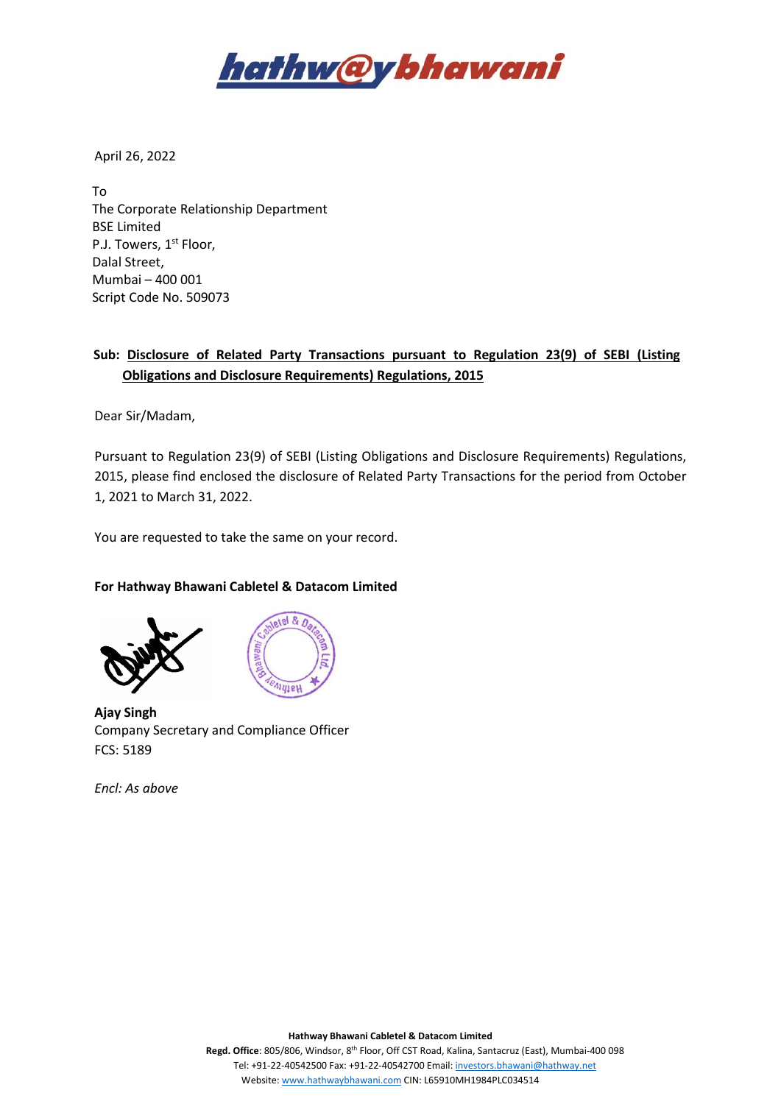

April 26, 2022

To The Corporate Relationship Department BSE Limited P.J. Towers, 1<sup>st</sup> Floor, Dalal Street, Mumbai – 400 001 Script Code No. 509073

## **Sub: Disclosure of Related Party Transactions pursuant to Regulation 23(9) of SEBI (Listing Obligations and Disclosure Requirements) Regulations, 2015**

Dear Sir/Madam,

Pursuant to Regulation 23(9) of SEBI (Listing Obligations and Disclosure Requirements) Regulations, 2015, please find enclosed the disclosure of Related Party Transactions for the period from October 1, 2021 to March 31, 2022.

You are requested to take the same on your record.

## **For Hathway Bhawani Cabletel & Datacom Limited**





**Ajay Singh** Company Secretary and Compliance Officer FCS: 5189

*Encl: As above*

**Hathway Bhawani Cabletel & Datacom Limited**

**Regd. Office**: 805/806, Windsor, 8th Floor, Off CST Road, Kalina, Santacruz (East), Mumbai-400 098 Tel: +91-22-40542500 Fax: +91-22-40542700 Email[: investors.bhawani@hathway.net](mailto:investors.bhawani@hathway.net) Website[: www.hathwaybhawani.com](http://www.hathwaybhawani.com/) CIN: L65910MH1984PLC034514